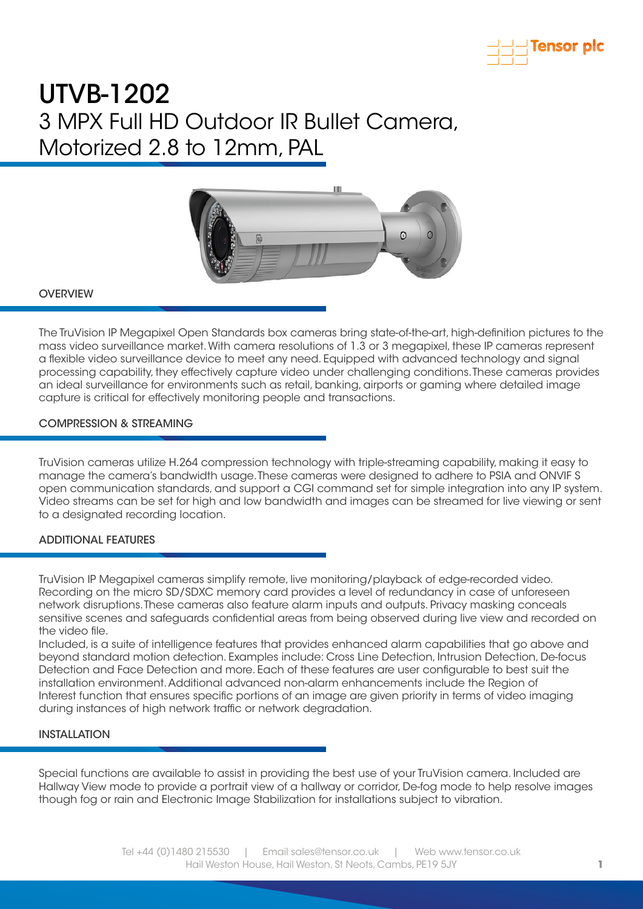



#### **OVERVIEW**

The TruVision IP Megapixel Open Standards box cameras bring state-of-the-art, high-definition pictures to the mass video surveillance market. With camera resolutions of 1.3 or 3 megapixel, these IP cameras represent a flexible video surveillance device to meet any need. Equipped with advanced technology and signal processing capability, they effectively capture video under challenging conditions. These cameras provides an ideal surveillance for environments such as retail, banking, airports or gaming where detailed image capture is critical for effectively monitoring people and transactions.

### COMPRESSION & STREAMING

TruVision cameras utilize H.264 compression technology with triple-streaming capability, making it easy to manage the camera's bandwidth usage. These cameras were designed to adhere to PSIA and ONVIF S open communication standards, and support a CGI command set for simple integration into any IP system. Video streams can be set for high and low bandwidth and images can be streamed for live viewing or sent to a designated recording location.

#### ADDITIONAL FEATURES

TruVision IP Megapixel cameras simplify remote, live monitoring/playback of edge-recorded video. Recording on the micro SD/SDXC memory card provides a level of redundancy in case of unforeseen network disruptions. These cameras also feature alarm inputs and outputs. Privacy masking conceals sensitive scenes and safeguards confidential areas from being observed during live view and recorded on the video file.

Included, is a suite of intelligence features that provides enhanced alarm capabilities that go above and beyond standard motion detection. Examples include: Cross Line Detection, Intrusion Detection, De-focus Detection and Face Detection and more. Each of these features are user configurable to best suit the installation environment. Additional advanced non-alarm enhancements include the Region of Interest function that ensures specific portions of an image are given priority in terms of video imaging during instances of high network traffic or network degradation.

#### INSTALLATION

Special functions are available to assist in providing the best use of your TruVision camera. Included are Hallway View mode to provide a portrait view of a hallway or corridor, De-fog mode to help resolve images though fog or rain and Electronic Image Stabilization for installations subject to vibration.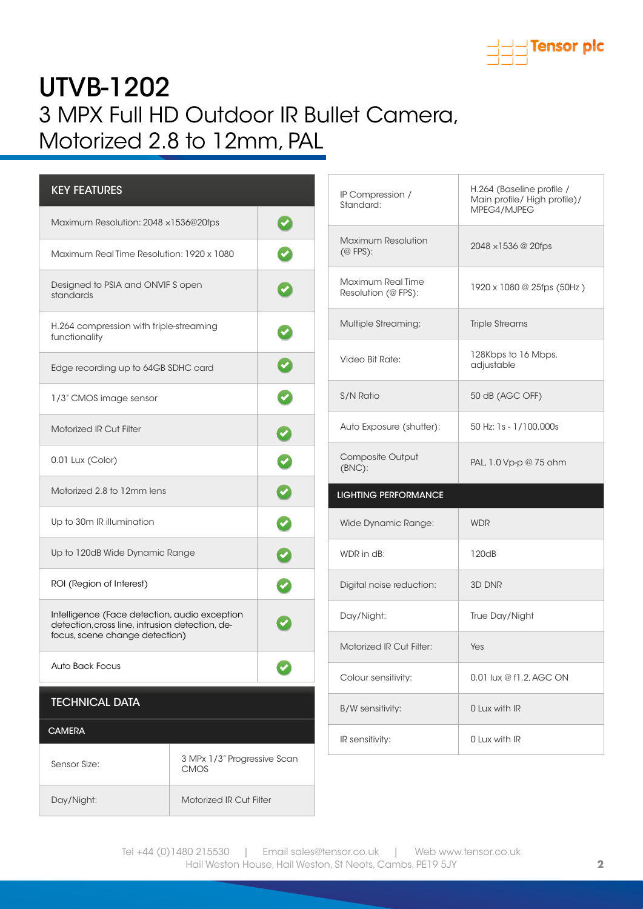

| <b>KEY FEATURES</b>                                                                                                                |                                            |  |
|------------------------------------------------------------------------------------------------------------------------------------|--------------------------------------------|--|
| Maximum Resolution: 2048 x1536@20fps                                                                                               |                                            |  |
| Maximum Real Time Resolution: 1920 x 1080                                                                                          |                                            |  |
| Designed to PSIA and ONVIF S open<br>standards                                                                                     |                                            |  |
| H.264 compression with triple-streaming<br>functionality                                                                           |                                            |  |
| Edge recording up to 64GB SDHC card                                                                                                |                                            |  |
| 1/3" CMOS image sensor                                                                                                             |                                            |  |
| <b>Motorized IR Cut Filter</b>                                                                                                     |                                            |  |
| 0.01 Lux (Color)                                                                                                                   |                                            |  |
| Motorized 2.8 to 12mm lens                                                                                                         |                                            |  |
| Up to 30m IR illumination                                                                                                          |                                            |  |
| Up to 120dB Wide Dynamic Range                                                                                                     |                                            |  |
| ROI (Region of Interest)                                                                                                           |                                            |  |
| Intelligence (Face detection, audio exception<br>detection, cross line, intrusion detection, de-<br>focus, scene change detection) |                                            |  |
| Auto Back Focus                                                                                                                    |                                            |  |
| <b>TECHNICAL DATA</b>                                                                                                              |                                            |  |
| <b>CAMERA</b>                                                                                                                      |                                            |  |
| Sensor Size:                                                                                                                       | 3 MPx 1/3" Progressive Scan<br><b>CMOS</b> |  |
| Day/Night:                                                                                                                         | <b>Motorized IR Cut Filter</b>             |  |

| IP Compression /<br>Standard:                             | H.264 (Baseline profile /<br>Main profile/ High profile)/<br>MPEG4/MJPEG |  |
|-----------------------------------------------------------|--------------------------------------------------------------------------|--|
| <b>Maximum Resolution</b><br>$(\textcircled{e}$ FPS $)$ : | $2048 \times 1536 \ @ 20\text{fps}$                                      |  |
| Maximum Real Time<br>Resolution (@ FPS):                  | 1920 x 1080 @ 25fps (50Hz)                                               |  |
| <b>Multiple Streaming:</b>                                | <b>Triple Streams</b>                                                    |  |
| Video Bit Rate:                                           | 128Kbps to 16 Mbps,<br>adjustable                                        |  |
| S/N Ratio                                                 | 50 dB (AGC OFF)                                                          |  |
| Auto Exposure (shutter):                                  | 50 Hz: 1s - 1/100,000s                                                   |  |
| Composite Output<br>$(BNC)$ :                             | PAL, 1.0 Vp-p @ 75 ohm                                                   |  |
| <b>LIGHTING PERFORMANCE</b>                               |                                                                          |  |
|                                                           |                                                                          |  |
| Wide Dynamic Range:                                       | <b>WDR</b>                                                               |  |
| WDR in dB:                                                | 120dB                                                                    |  |
| Digital noise reduction:                                  | 3D DNR                                                                   |  |
| Day/Night:                                                | True Day/Night                                                           |  |
| Motorized IR Cut Filter:                                  | Yes                                                                      |  |
| Colour sensitivity:                                       | 0.01 lux @ f1.2, AGC ON                                                  |  |
| B/W sensitivity:                                          | 0 Lux with IR                                                            |  |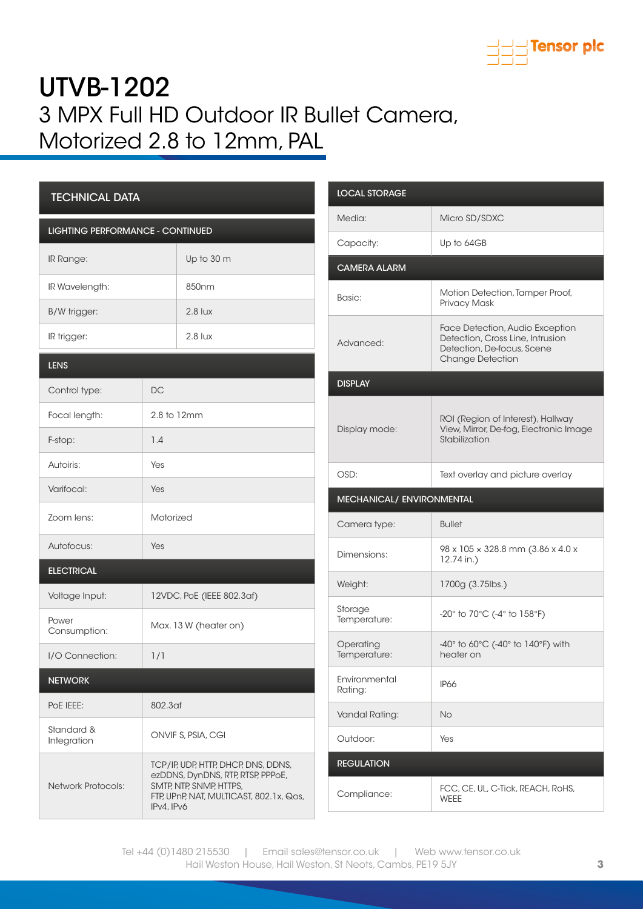

| <b>TECHNICAL DATA</b>                   |                                                                                                                                                              |                   |  |
|-----------------------------------------|--------------------------------------------------------------------------------------------------------------------------------------------------------------|-------------------|--|
| <b>LIGHTING PERFORMANCE - CONTINUED</b> |                                                                                                                                                              |                   |  |
| <b>IR Range:</b>                        |                                                                                                                                                              | Up to 30 m        |  |
| IR Wavelength:                          |                                                                                                                                                              | 850 <sub>nm</sub> |  |
| B/W trigger:                            |                                                                                                                                                              | $2.8$ lux         |  |
| IR trigger:                             |                                                                                                                                                              | $2.8$ lux         |  |
| <b>LENS</b>                             |                                                                                                                                                              |                   |  |
| Control type:                           | DC                                                                                                                                                           |                   |  |
| Focal length:                           | 2.8 to 12mm                                                                                                                                                  |                   |  |
| F-stop:                                 | 1.4                                                                                                                                                          |                   |  |
| Autoiris:                               | Yes                                                                                                                                                          |                   |  |
| Varifocal:                              | Yes                                                                                                                                                          |                   |  |
| Zoom lens:                              | Motorized                                                                                                                                                    |                   |  |
| Autofocus:                              | Yes                                                                                                                                                          |                   |  |
| <b>ELECTRICAL</b>                       |                                                                                                                                                              |                   |  |
| Voltage Input:                          | 12VDC, PoE (IEEE 802.3af)                                                                                                                                    |                   |  |
| Power<br>Consumption:                   | Max. 13 W (heater on)                                                                                                                                        |                   |  |
| I/O Connection:                         | 1/1                                                                                                                                                          |                   |  |
| <b>NETWORK</b>                          |                                                                                                                                                              |                   |  |
| POE IEEE:                               | 802.3af                                                                                                                                                      |                   |  |
| Standard &<br>Integration               | ONVIF S, PSIA, CGI                                                                                                                                           |                   |  |
| <b>Network Protocols:</b>               | TCP/IP, UDP, HTTP, DHCP, DNS, DDNS,<br>ezDDNS, DynDNS, RTP, RTSP, PPPoE,<br>SMTP, NTP, SNMP, HTTPS,<br>FTP, UPnP, NAT, MULTICAST, 802.1x, Qos,<br>IPv4, IPv6 |                   |  |

| <b>LOCAL STORAGE</b>      |                                                                                                                              |  |  |
|---------------------------|------------------------------------------------------------------------------------------------------------------------------|--|--|
| Media:                    | Micro SD/SDXC                                                                                                                |  |  |
| Capacity:                 | Up to 64GB                                                                                                                   |  |  |
| <b>CAMERA ALARM</b>       |                                                                                                                              |  |  |
| Basic:                    | Motion Detection, Tamper Proof,<br>Privacy Mask                                                                              |  |  |
| Advanced:                 | Face Detection, Audio Exception<br>Detection, Cross Line, Intrusion<br>Detection, De-focus, Scene<br><b>Change Detection</b> |  |  |
| <b>DISPLAY</b>            |                                                                                                                              |  |  |
| Display mode:             | ROI (Region of Interest), Hallway<br>View, Mirror, De-fog, Electronic Image<br>Stabilization                                 |  |  |
| OSD:                      | Text overlay and picture overlay                                                                                             |  |  |
| MECHANICAL/ ENVIRONMENTAL |                                                                                                                              |  |  |
| Camera type:              | <b>Bullet</b>                                                                                                                |  |  |
| Dimensions:               | 98 x 105 x 328.8 mm (3.86 x 4.0 x<br>12.74 in.)                                                                              |  |  |
| Weight:                   | 1700g (3.75lbs.)                                                                                                             |  |  |
| Storage<br>Temperature:   | -20° to 70°C (-4° to 158°F)                                                                                                  |  |  |
| Operating<br>Temperature: | $-40^\circ$ to 60 $\degree$ C (-40 $\degree$ to 140 $\degree$ F) with<br>heater on                                           |  |  |
| Environmental<br>Rating:  | <b>IP66</b>                                                                                                                  |  |  |
| Vandal Rating:            | No                                                                                                                           |  |  |
| Outdoor:                  | Yes                                                                                                                          |  |  |
| <b>REGULATION</b>         |                                                                                                                              |  |  |
| Compliance:               | FCC, CE, UL, C-Tick, REACH, RoHS,<br><b>WEEE</b>                                                                             |  |  |